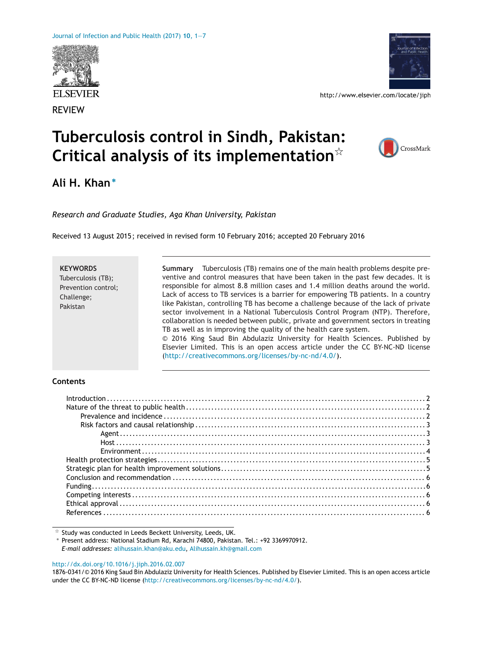



http://www.elsevier.com/locate/jiph

# **Tuberculosis control in Sindh, Pakistan: Critical analysis of its implementation**-



## **Ali H. Khan<sup>∗</sup>**

*Research and Graduate Studies, Aga Khan University, Pakistan*

Received 13 August 2015 ; received in revised form 10 February 2016; accepted 20 February 2016

| <b>KEYWORDS</b>     | Tuberculosis (TB) remains one of the main health problems despite pre-<br>Summary   |
|---------------------|-------------------------------------------------------------------------------------|
| Tuberculosis (TB);  | ventive and control measures that have been taken in the past few decades. It is    |
| Prevention control; | responsible for almost 8.8 million cases and 1.4 million deaths around the world.   |
| Challenge;          | Lack of access to TB services is a barrier for empowering TB patients. In a country |
| Pakistan            | like Pakistan, controlling TB has become a challenge because of the lack of private |
|                     | sector involvement in a National Tuberculosis Control Program (NTP). Therefore,     |
|                     | collaboration is needed between public, private and government sectors in treating  |
|                     | TB as well as in improving the quality of the health care system.                   |
|                     | © 2016 King Saud Bin Abdulaziz University for Health Sciences. Published by         |
|                     | Elsevier Limited. This is an open access article under the CC BY-NC-ND license      |
|                     | (http://creativecommons.org/licenses/by-nc-nd/4.0/).                                |

## **Contents**

| $Introduction \dots 12$ |  |
|-------------------------|--|
|                         |  |
|                         |  |
|                         |  |
|                         |  |
|                         |  |
|                         |  |
|                         |  |
|                         |  |
|                         |  |
|                         |  |
|                         |  |
|                         |  |
|                         |  |
|                         |  |

 $\overline{\mathbf{x}}$  Study was conducted in Leeds Beckett University, Leeds, UK.

∗ Present address: National Stadium Rd, Karachi 74800, Pakistan. Tel.: +92 3369970912. *E-mail addresses:* [alihussain.khan@aku.edu](mailto:alihussain.khan@aku.edu), [Alihussain.kh@gmail.com](mailto:Alihussain.kh@gmail.com)

[http://dx.doi.org/10.1016/j.jiph.2016.02.007](dx.doi.org/10.1016/j.jiph.2016.02.007)

1876-0341/© 2016 King Saud Bin Abdulaziz University for Health Sciences. Published by Elsevier Limited. This is an open access article under the CC BY-NC-ND license [\(http://creativecommons.org/licenses/by-nc-nd/4.0/\)](http://creativecommons.org/licenses/by-nc-nd/4.0/).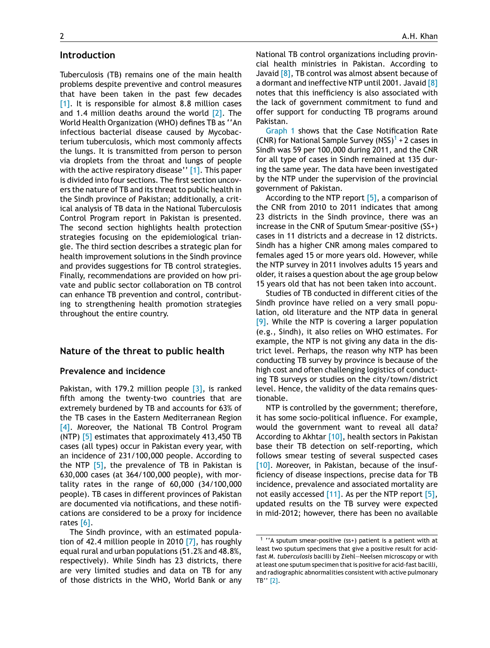### **Introduction**

Tuberculosis (TB) remains one of the main health problems despite preventive and control measures that have been taken in the past few decades [\[1\].](#page-5-0) It is responsible for almost 8.8 million cases and 1.4 million deaths around the world  $[2]$ . The World Health Organization (WHO) defines TB as ''An infectious bacterial disease caused by Mycobacterium tuberculosis, which most commonly affects the lungs. It is transmitted from person to person via droplets from the throat and lungs of people with the active respiratory disease" [\[1\].](#page-5-0) This paper is divided into four sections. The first section uncovers the nature of TB and its threat to public health in the Sindh province of Pakistan; additionally, a critical analysis of TB data in the National Tuberculosis Control Program report in Pakistan is presented. The second section highlights health protection strategies focusing on the epidemiological triangle. The third section describes a strategic plan for health improvement solutions in the Sindh province and provides suggestions for TB control strategies. Finally, recommendations are provided on how private and public sector collaboration on TB control can enhance TB prevention and control, contributing to strengthening health promotion strategies throughout the entire country.

## **Nature of the threat to public health**

## **Prevalence and incidence**

Pakistan, with 179.2 million people  $[3]$ , is ranked fifth among the twenty-two countries that are extremely burdened by TB and accounts for 63% of the TB cases in the Eastern Mediterranean Region [\[4\].](#page-5-0) Moreover, the National TB Control Program (NTP) [\[5\]](#page-5-0) estimates that approximately 413,450 TB cases (all types) occur in Pakistan every year, with an incidence of 231/100,000 people. According to the NTP  $\lceil 5 \rceil$ , the prevalence of TB in Pakistan is 630,000 cases (at 364/100,000 people), with mortality rates in the range of 60,000 (34/100,000 people). TB cases in different provinces of Pakistan are documented via notifications, and these notifications are considered to be a proxy for incidence rates [\[6\].](#page-5-0)

The Sindh province, with an estimated population of 42.4 million people in 2010  $[7]$ , has roughly equal rural and urban populations (51.2% and 48.8%, respectively). While Sindh has 23 districts, there are very limited studies and data on TB for any of those districts in the WHO, World Bank or any

National TB control organizations including provincial health ministries in Pakistan. According to Javaid  $[8]$ , TB control was almost absent because of a dormant and ineffective NTP until 2001. Javaid [\[8\]](#page-5-0) notes that this inefficiency is also associated with the lack of government commitment to fund and offer support for conducting TB programs around Pakistan.

[Graph](#page-2-0) [1](#page-2-0) shows that the Case Notification Rate (CNR) for National Sample Survey (NSS)<sup>1</sup> + 2 cases in Sindh was 59 per 100,000 during 2011, and the CNR for all type of cases in Sindh remained at 135 during the same year. The data have been investigated by the NTP under the supervision of the provincial government of Pakistan.

According to the NTP report [\[5\],](#page-5-0) a comparison of the CNR from 2010 to 2011 indicates that among 23 districts in the Sindh province, there was an increase in the CNR of Sputum Smear-positive (SS+) cases in 11 districts and a decrease in 12 districts. Sindh has a higher CNR among males compared to females aged 15 or more years old. However, while the NTP survey in 2011 involves adults 15 years and older, it raises a question about the age group below 15 years old that has not been taken into account.

Studies of TB conducted in different cities of the Sindh province have relied on a very small population, old literature and the NTP data in general  $[9]$ . While the NTP is covering a larger population (e.g., Sindh), it also relies on WHO estimates. For example, the NTP is not giving any data in the district level. Perhaps, the reason why NTP has been conducting TB survey by province is because of the high cost and often challenging logistics of conducting TB surveys or studies on the city/town/district level. Hence, the validity of the data remains questionable.

NTP is controlled by the government; therefore, it has some socio-political influence. For example, would the government want to reveal all data? According to Akhtar [\[10\],](#page-5-0) health sectors in Pakistan base their TB detection on self-reporting, which follows smear testing of several suspected cases [\[10\].](#page-5-0) Moreover, in Pakistan, because of the insufficiency of disease inspections, precise data for TB incidence, prevalence and associated mortality are not easily accessed [\[11\].](#page-5-0) As per the NTP report [\[5\],](#page-5-0) updated results on the TB survey were expected in mid-2012; however, there has been no available

<sup>1</sup> ''A sputum smear-positive (ss+) patient is a patient with at least two sputum specimens that give a positive result for acidfast *M. tuberculosis* bacilli by Ziehl—Neelsen microscopy or with at least one sputum specimen that is positive for acid-fast bacilli, and radiographic abnormalities consistent with active pulmonary TB'' [\[2\].](#page-5-0)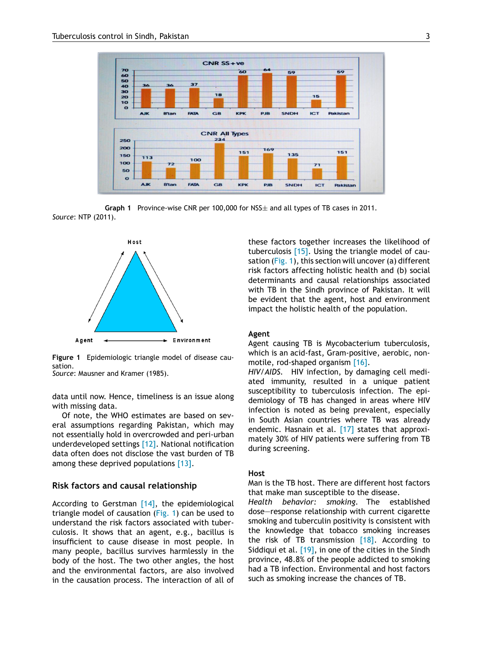<span id="page-2-0"></span>

**Graph 1** Province-wise CNR per 100,000 for NSS± and all types of TB cases in 2011. *Source*: NTP (2011).



**Figure 1** Epidemiologic triangle model of disease causation.

*Source*: Mausner and Kramer (1985).

data until now. Hence, timeliness is an issue along with missing data.

Of note, the WHO estimates are based on several assumptions regarding Pakistan, which may not essentially hold in overcrowded and peri-urban underdeveloped settings [\[12\].](#page-5-0) National notification data often does not disclose the vast burden of TB among these deprived populations [\[13\].](#page-5-0)

#### **Risk factors and causal relationship**

According to Gerstman [\[14\],](#page-5-0) the epidemiological triangle model of causation (Fig. 1) can be used to understand the risk factors associated with tuberculosis. It shows that an agent, e.g., bacillus is insufficient to cause disease in most people. In many people, bacillus survives harmlessly in the body of the host. The two other angles, the host and the environmental factors, are also involved in the causation process. The interaction of all of these factors together increases the likelihood of tuberculosis [\[15\].](#page-5-0) Using the triangle model of causation (Fig. 1), this section will uncover (a) different risk factors affecting holistic health and (b) social determinants and causal relationships associated with TB in the Sindh province of Pakistan. It will be evident that the agent, host and environment impact the holistic health of the population.

#### **Agent**

Agent causing TB is Mycobacterium tuberculosis, which is an acid-fast, Gram-positive, aerobic, nonmotile, rod-shaped organism [\[16\].](#page-5-0)

*HIV/AIDS.* HIV infection, by damaging cell mediated immunity, resulted in a unique patient susceptibility to tuberculosis infection. The epidemiology of TB has changed in areas where HIV infection is noted as being prevalent, especially in South Asian countries where TB was already endemic. Hasnain et al. [\[17\]](#page-5-0) states that approximately 30% of HIV patients were suffering from TB during screening.

#### **Host**

Man is the TB host. There are different host factors that make man susceptible to the disease.

*Health behavior: smoking.* The established dose—response relationship with current cigarette smoking and tuberculin positivity is consistent with the knowledge that tobacco smoking increases the risk of TB transmission  $[18]$ . According to Siddiqui et al. [\[19\],](#page-5-0) in one of the cities in the Sindh province, 48.8% of the people addicted to smoking had a TB infection. Environmental and host factors such as smoking increase the chances of TB.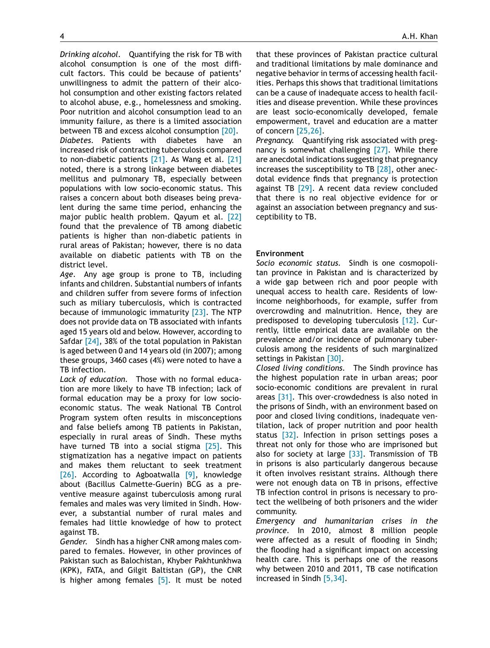*Drinking alcohol.* Quantifying the risk for TB with alcohol consumption is one of the most difficult factors. This could be because of patients' unwillingness to admit the pattern of their alcohol consumption and other existing factors related to alcohol abuse, e.g., homelessness and smoking. Poor nutrition and alcohol consumption lead to an immunity failure, as there is a limited association between TB and excess alcohol consumption [\[20\].](#page-5-0)

*Diabetes.* Patients with diabetes have an increased risk of contracting tuberculosis compared to non-diabetic patients [\[21\].](#page-5-0) As Wang et al. [\[21\]](#page-5-0) noted, there is a strong linkage between diabetes mellitus and pulmonary TB, especially between populations with low socio-economic status. This raises a concern about both diseases being prevalent during the same time period, enhancing the major public health problem. Qayum et al. [\[22\]](#page-5-0) found that the prevalence of TB among diabetic patients is higher than non-diabetic patients in rural areas of Pakistan; however, there is no data available on diabetic patients with TB on the district level.

*Age.* Any age group is prone to TB, including infants and children. Substantial numbers of infants and children suffer from severe forms of infection such as miliary tuberculosis, which is contracted because of immunologic immaturity [\[23\].](#page-5-0) The NTP does not provide data on TB associated with infants aged 15 years old and below. However, according to Safdar [\[24\],](#page-5-0) 38% of the total population in Pakistan is aged between 0 and 14 years old (in 2007); among these groups, 3460 cases (4%) were noted to have a TB infection.

*Lack of education.* Those with no formal education are more likely to have TB infection; lack of formal education may be a proxy for low socioeconomic status. The weak National TB Control Program system often results in misconceptions and false beliefs among TB patients in Pakistan, especially in rural areas of Sindh. These myths have turned TB into a social stigma [\[25\].](#page-5-0) This stigmatization has a negative impact on patients and makes them reluctant to seek treatment [\[26\].](#page-5-0) According to Agboatwalla [\[9\],](#page-5-0) knowledge about (Bacillus Calmette-Guerin) BCG as a preventive measure against tuberculosis among rural females and males was very limited in Sindh. However, a substantial number of rural males and females had little knowledge of how to protect against TB.

*Gender.* Sindh has a higher CNR among males compared to females. However, in other provinces of Pakistan such as Balochistan, Khyber Pakhtunkhwa (KPK), FATA, and Gilgit Baltistan (GP), the CNR is higher among females  $[5]$ . It must be noted that these provinces of Pakistan practice cultural and traditional limitations by male dominance and negative behavior in terms of accessing health facilities. Perhaps this shows that traditional limitations can be a cause of inadequate access to health facilities and disease prevention. While these provinces are least socio-economically developed, female empowerment, travel and education are a matter of concern [\[25,26\].](#page-5-0)

*Pregnancy.* Quantifying risk associated with pregnancy is somewhat challenging [\[27\].](#page-5-0) While there are anecdotal indications suggesting that pregnancy increases the susceptibility to TB [\[28\],](#page-5-0) other anecdotal evidence finds that pregnancy is protection against TB [\[29\].](#page-6-0) A recent data review concluded that there is no real objective evidence for or against an association between pregnancy and susceptibility to TB.

#### **Environment**

*Socio economic status.* Sindh is one cosmopolitan province in Pakistan and is characterized by a wide gap between rich and poor people with unequal access to health care. Residents of lowincome neighborhoods, for example, suffer from overcrowding and malnutrition. Hence, they are predisposed to developing tuberculosis [\[12\].](#page-5-0) Currently, little empirical data are available on the prevalence and/or incidence of pulmonary tuberculosis among the residents of such marginalized settings in Pakistan [\[30\].](#page-6-0)

*Closed living conditions.* The Sindh province has the highest population rate in urban areas; poor socio-economic conditions are prevalent in rural areas  $[31]$ . This over-crowdedness is also noted in the prisons of Sindh, with an environment based on poor and closed living conditions, inadequate ventilation, lack of proper nutrition and poor health status [\[32\].](#page-6-0) Infection in prison settings poses a threat not only for those who are imprisoned but also for society at large  $[33]$ . Transmission of TB in prisons is also particularly dangerous because it often involves resistant strains. Although there were not enough data on TB in prisons, effective TB infection control in prisons is necessary to protect the wellbeing of both prisoners and the wider community.

*Emergency and humanitarian crises in the province.* In 2010, almost 8 million people were affected as a result of flooding in Sindh; the flooding had a significant impact on accessing health care. This is perhaps one of the reasons why between 2010 and 2011, TB case notification increased in Sindh [\[5,34\].](#page-5-0)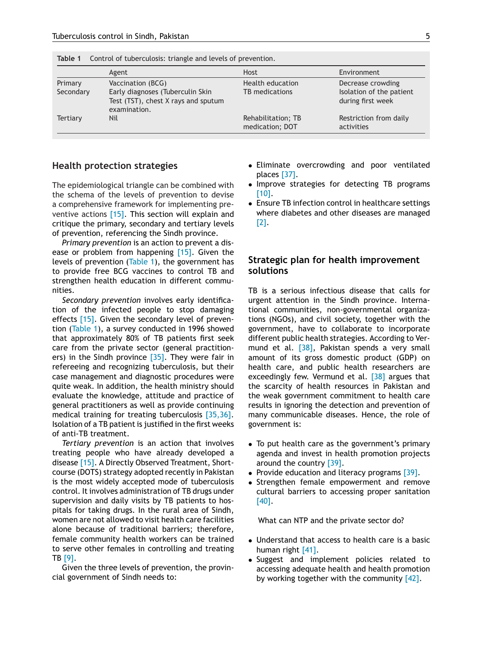|           | Agent                                                                                   | <b>Host</b>                           | Environment                                   |  |  |
|-----------|-----------------------------------------------------------------------------------------|---------------------------------------|-----------------------------------------------|--|--|
| Primary   | Vaccination (BCG)                                                                       | Health education                      | Decrease crowding                             |  |  |
| Secondary | Early diagnoses (Tuberculin Skin<br>Test (TST), chest X rays and sputum<br>examination. | TB medications                        | Isolation of the patient<br>during first week |  |  |
| Tertiary  | Nil                                                                                     | Rehabilitation; TB<br>medication; DOT | Restriction from daily<br>activities          |  |  |

**Table 1** Control of tuberculosis: triangle and levels of prevention.

## **Health protection strategies**

The epidemiological triangle can be combined with the schema of the levels of prevention to devise a comprehensive framework for implementing preventive actions [\[15\].](#page-5-0) This section will explain and critique the primary, secondary and tertiary levels of prevention, referencing the Sindh province.

*Primary prevention* is an action to prevent a dis-ease or problem from happening [\[15\].](#page-5-0) Given the levels of prevention (Table 1), the government has to provide free BCG vaccines to control TB and strengthen health education in different communities.

*Secondary prevention* involves early identification of the infected people to stop damaging effects [\[15\].](#page-5-0) Given the secondary level of prevention (Table 1), a survey conducted in 1996 showed that approximately 80% of TB patients first seek care from the private sector (general practition-ers) in the Sindh province [\[35\].](#page-6-0) They were fair in refereeing and recognizing tuberculosis, but their case management and diagnostic procedures were quite weak. In addition, the health ministry should evaluate the knowledge, attitude and practice of general practitioners as well as provide continuing medical training for treating tuberculosis [\[35,36\].](#page-6-0) Isolation of a TB patient is justified in the first weeks of anti-TB treatment.

*Tertiary prevention* is an action that involves treating people who have already developed a disease [\[15\].](#page-5-0) A Directly Observed Treatment, Shortcourse (DOTS) strategy adopted recently in Pakistan is the most widely accepted mode of tuberculosis control. It involves administration of TB drugs under supervision and daily visits by TB patients to hospitals for taking drugs. In the rural area of Sindh, women are not allowed to visit health care facilities alone because of traditional barriers; therefore, female community health workers can be trained to serve other females in controlling and treating TB [\[9\].](#page-5-0)

Given the three levels of prevention, the provincial government of Sindh needs to:

- Eliminate overcrowding and poor ventilated places [\[37\].](#page-6-0)
- Improve strategies for detecting TB programs [\[10\].](#page-5-0)
- Ensure TB infection control in healthcare settings where diabetes and other diseases are managed [\[2\].](#page-5-0)

## **Strategic plan for health improvement solutions**

TB is a serious infectious disease that calls for urgent attention in the Sindh province. International communities, non-governmental organizations (NGOs), and civil society, together with the government, have to collaborate to incorporate different public health strategies. According to Vermund et al. <a>[38]</a>, Pakistan spends a very small amount of its gross domestic product (GDP) on health care, and public health researchers are exceedingly few. Vermund et al.  $\sqrt{38}$  argues that the scarcity of health resources in Pakistan and the weak government commitment to health care results in ignoring the detection and prevention of many communicable diseases. Hence, the role of government is:

- To put health care as the government's primary agenda and invest in health promotion projects around the country [\[39\].](#page-6-0)
- Provide education and literacy programs [\[39\].](#page-6-0)
- Strengthen female empowerment and remove cultural barriers to accessing proper sanitation [\[40\].](#page-6-0)

What can NTP and the private sector do?

- Understand that access to health care is a basic human right [\[41\].](#page-6-0)
- Suggest and implement policies related to accessing adequate health and health promotion by working together with the community [\[42\].](#page-6-0)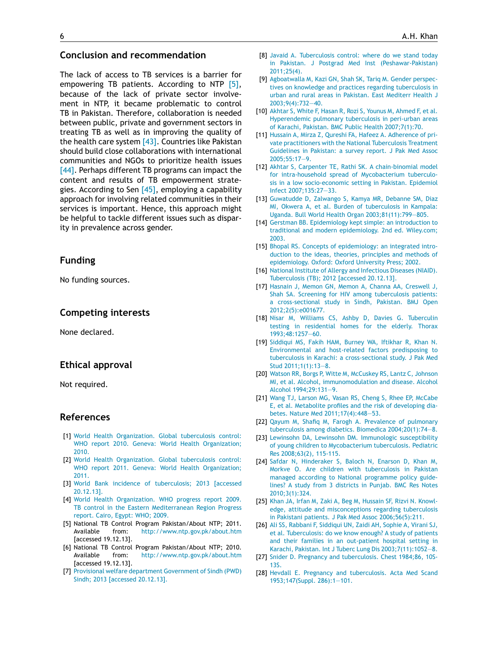## <span id="page-5-0"></span>**Conclusion and recommendation**

The lack of access to TB services is a barrier for empowering TB patients. According to NTP [5], because of the lack of private sector involvement in NTP, it became problematic to control TB in Pakistan. Therefore, collaboration is needed between public, private and government sectors in treating TB as well as in improving the quality of the health care system  $[43]$ . Countries like Pakistan should build close collaborations with international communities and NGOs to prioritize health issues [\[44\].](#page-6-0) Perhaps different TB programs can impact the content and results of TB empowerment strategies. According to Sen  $[45]$ , employing a capability approach for involving related communities in their services is important. Hence, this approach might be helpful to tackle different issues such as disparity in prevalence across gender.

## **Funding**

No funding sources.

## **Competing interests**

None declared.

## **Ethical approval**

Not required.

## **References**

- [1] [World](http://refhub.elsevier.com/S1876-0341(16)30004-1/sbref0230) [Health](http://refhub.elsevier.com/S1876-0341(16)30004-1/sbref0230) [Organization.](http://refhub.elsevier.com/S1876-0341(16)30004-1/sbref0230) [Global](http://refhub.elsevier.com/S1876-0341(16)30004-1/sbref0230) [tuberculosis](http://refhub.elsevier.com/S1876-0341(16)30004-1/sbref0230) [control:](http://refhub.elsevier.com/S1876-0341(16)30004-1/sbref0230) [WHO](http://refhub.elsevier.com/S1876-0341(16)30004-1/sbref0230) [report](http://refhub.elsevier.com/S1876-0341(16)30004-1/sbref0230) [2010.](http://refhub.elsevier.com/S1876-0341(16)30004-1/sbref0230) [Geneva:](http://refhub.elsevier.com/S1876-0341(16)30004-1/sbref0230) [World](http://refhub.elsevier.com/S1876-0341(16)30004-1/sbref0230) [Health](http://refhub.elsevier.com/S1876-0341(16)30004-1/sbref0230) [Organization;](http://refhub.elsevier.com/S1876-0341(16)30004-1/sbref0230) [2010.](http://refhub.elsevier.com/S1876-0341(16)30004-1/sbref0230)
- [2] [World](http://refhub.elsevier.com/S1876-0341(16)30004-1/sbref0235) [Health](http://refhub.elsevier.com/S1876-0341(16)30004-1/sbref0235) [Organization.](http://refhub.elsevier.com/S1876-0341(16)30004-1/sbref0235) [Global](http://refhub.elsevier.com/S1876-0341(16)30004-1/sbref0235) [tuberculosis](http://refhub.elsevier.com/S1876-0341(16)30004-1/sbref0235) [control:](http://refhub.elsevier.com/S1876-0341(16)30004-1/sbref0235) [WHO](http://refhub.elsevier.com/S1876-0341(16)30004-1/sbref0235) [report](http://refhub.elsevier.com/S1876-0341(16)30004-1/sbref0235) [2011.](http://refhub.elsevier.com/S1876-0341(16)30004-1/sbref0235) [Geneva:](http://refhub.elsevier.com/S1876-0341(16)30004-1/sbref0235) [World](http://refhub.elsevier.com/S1876-0341(16)30004-1/sbref0235) [Health](http://refhub.elsevier.com/S1876-0341(16)30004-1/sbref0235) [Organization;](http://refhub.elsevier.com/S1876-0341(16)30004-1/sbref0235) [2011.](http://refhub.elsevier.com/S1876-0341(16)30004-1/sbref0235)
- [3] [World](http://refhub.elsevier.com/S1876-0341(16)30004-1/sbref0240) [Bank](http://refhub.elsevier.com/S1876-0341(16)30004-1/sbref0240) [incidence](http://refhub.elsevier.com/S1876-0341(16)30004-1/sbref0240) [of](http://refhub.elsevier.com/S1876-0341(16)30004-1/sbref0240) [tuberculosis;](http://refhub.elsevier.com/S1876-0341(16)30004-1/sbref0240) [2013](http://refhub.elsevier.com/S1876-0341(16)30004-1/sbref0240) [\[accessed](http://refhub.elsevier.com/S1876-0341(16)30004-1/sbref0240) [20.12.13\].](http://refhub.elsevier.com/S1876-0341(16)30004-1/sbref0240)
- [4] [World](http://refhub.elsevier.com/S1876-0341(16)30004-1/sbref0245) [Health](http://refhub.elsevier.com/S1876-0341(16)30004-1/sbref0245) [Organization.](http://refhub.elsevier.com/S1876-0341(16)30004-1/sbref0245) [WHO](http://refhub.elsevier.com/S1876-0341(16)30004-1/sbref0245) [progress](http://refhub.elsevier.com/S1876-0341(16)30004-1/sbref0245) [report](http://refhub.elsevier.com/S1876-0341(16)30004-1/sbref0245) [2009.](http://refhub.elsevier.com/S1876-0341(16)30004-1/sbref0245) [TB](http://refhub.elsevier.com/S1876-0341(16)30004-1/sbref0245) [control](http://refhub.elsevier.com/S1876-0341(16)30004-1/sbref0245) [in](http://refhub.elsevier.com/S1876-0341(16)30004-1/sbref0245) [the](http://refhub.elsevier.com/S1876-0341(16)30004-1/sbref0245) [Eastern](http://refhub.elsevier.com/S1876-0341(16)30004-1/sbref0245) [Mediterranean](http://refhub.elsevier.com/S1876-0341(16)30004-1/sbref0245) [Region](http://refhub.elsevier.com/S1876-0341(16)30004-1/sbref0245) [Progress](http://refhub.elsevier.com/S1876-0341(16)30004-1/sbref0245) [report.](http://refhub.elsevier.com/S1876-0341(16)30004-1/sbref0245) [Cairo,](http://refhub.elsevier.com/S1876-0341(16)30004-1/sbref0245) [Egypt:](http://refhub.elsevier.com/S1876-0341(16)30004-1/sbref0245) [WHO;](http://refhub.elsevier.com/S1876-0341(16)30004-1/sbref0245) [2009.](http://refhub.elsevier.com/S1876-0341(16)30004-1/sbref0245)
- [5] National TB Control Program Pakistan/About NTP; 2011. Available from: <http://www.ntp.gov.pk/about.htm> [accessed 19.12.13].
- [6] National TB Control Program Pakistan/About NTP; 2010. Available from: <http://www.ntp.gov.pk/about.htm> [accessed 19.12.13].
- [7] [Provisional](http://refhub.elsevier.com/S1876-0341(16)30004-1/sbref0260) [welfare](http://refhub.elsevier.com/S1876-0341(16)30004-1/sbref0260) [department](http://refhub.elsevier.com/S1876-0341(16)30004-1/sbref0260) [Government](http://refhub.elsevier.com/S1876-0341(16)30004-1/sbref0260) [of](http://refhub.elsevier.com/S1876-0341(16)30004-1/sbref0260) [Sindh](http://refhub.elsevier.com/S1876-0341(16)30004-1/sbref0260) [\(PWD\)](http://refhub.elsevier.com/S1876-0341(16)30004-1/sbref0260) [Sindh;](http://refhub.elsevier.com/S1876-0341(16)30004-1/sbref0260) [2013](http://refhub.elsevier.com/S1876-0341(16)30004-1/sbref0260) [\[accessed](http://refhub.elsevier.com/S1876-0341(16)30004-1/sbref0260) [20.12.13\].](http://refhub.elsevier.com/S1876-0341(16)30004-1/sbref0260)
- [8] [Javaid](http://refhub.elsevier.com/S1876-0341(16)30004-1/sbref0265) [A.](http://refhub.elsevier.com/S1876-0341(16)30004-1/sbref0265) [Tuberculosis](http://refhub.elsevier.com/S1876-0341(16)30004-1/sbref0265) [control:](http://refhub.elsevier.com/S1876-0341(16)30004-1/sbref0265) [where](http://refhub.elsevier.com/S1876-0341(16)30004-1/sbref0265) [do](http://refhub.elsevier.com/S1876-0341(16)30004-1/sbref0265) [we](http://refhub.elsevier.com/S1876-0341(16)30004-1/sbref0265) [stand](http://refhub.elsevier.com/S1876-0341(16)30004-1/sbref0265) [today](http://refhub.elsevier.com/S1876-0341(16)30004-1/sbref0265) [in](http://refhub.elsevier.com/S1876-0341(16)30004-1/sbref0265) [Pakistan.](http://refhub.elsevier.com/S1876-0341(16)30004-1/sbref0265) [J](http://refhub.elsevier.com/S1876-0341(16)30004-1/sbref0265) [Postgrad](http://refhub.elsevier.com/S1876-0341(16)30004-1/sbref0265) [Med](http://refhub.elsevier.com/S1876-0341(16)30004-1/sbref0265) [Inst](http://refhub.elsevier.com/S1876-0341(16)30004-1/sbref0265) [\(Peshawar-Pakistan\)](http://refhub.elsevier.com/S1876-0341(16)30004-1/sbref0265) [2011;25\(4\).](http://refhub.elsevier.com/S1876-0341(16)30004-1/sbref0265)
- [9] [Agboatwalla](http://refhub.elsevier.com/S1876-0341(16)30004-1/sbref0270) [M,](http://refhub.elsevier.com/S1876-0341(16)30004-1/sbref0270) [Kazi](http://refhub.elsevier.com/S1876-0341(16)30004-1/sbref0270) [GN,](http://refhub.elsevier.com/S1876-0341(16)30004-1/sbref0270) [Shah](http://refhub.elsevier.com/S1876-0341(16)30004-1/sbref0270) [SK,](http://refhub.elsevier.com/S1876-0341(16)30004-1/sbref0270) [Tariq](http://refhub.elsevier.com/S1876-0341(16)30004-1/sbref0270) [M.](http://refhub.elsevier.com/S1876-0341(16)30004-1/sbref0270) [Gender](http://refhub.elsevier.com/S1876-0341(16)30004-1/sbref0270) [perspec](http://refhub.elsevier.com/S1876-0341(16)30004-1/sbref0270)[tives](http://refhub.elsevier.com/S1876-0341(16)30004-1/sbref0270) [on](http://refhub.elsevier.com/S1876-0341(16)30004-1/sbref0270) [knowledge](http://refhub.elsevier.com/S1876-0341(16)30004-1/sbref0270) [and](http://refhub.elsevier.com/S1876-0341(16)30004-1/sbref0270) [practices](http://refhub.elsevier.com/S1876-0341(16)30004-1/sbref0270) [regarding](http://refhub.elsevier.com/S1876-0341(16)30004-1/sbref0270) [tuberculosis](http://refhub.elsevier.com/S1876-0341(16)30004-1/sbref0270) [in](http://refhub.elsevier.com/S1876-0341(16)30004-1/sbref0270) [urban](http://refhub.elsevier.com/S1876-0341(16)30004-1/sbref0270) [and](http://refhub.elsevier.com/S1876-0341(16)30004-1/sbref0270) [rural](http://refhub.elsevier.com/S1876-0341(16)30004-1/sbref0270) [areas](http://refhub.elsevier.com/S1876-0341(16)30004-1/sbref0270) [in](http://refhub.elsevier.com/S1876-0341(16)30004-1/sbref0270) [Pakistan.](http://refhub.elsevier.com/S1876-0341(16)30004-1/sbref0270) [East](http://refhub.elsevier.com/S1876-0341(16)30004-1/sbref0270) [Mediterr](http://refhub.elsevier.com/S1876-0341(16)30004-1/sbref0270) [Health](http://refhub.elsevier.com/S1876-0341(16)30004-1/sbref0270) [J](http://refhub.elsevier.com/S1876-0341(16)30004-1/sbref0270) [2003;9\(4\):732—40.](http://refhub.elsevier.com/S1876-0341(16)30004-1/sbref0270)
- [10] [Akhtar](http://refhub.elsevier.com/S1876-0341(16)30004-1/sbref0275) [S,](http://refhub.elsevier.com/S1876-0341(16)30004-1/sbref0275) [White](http://refhub.elsevier.com/S1876-0341(16)30004-1/sbref0275) [F,](http://refhub.elsevier.com/S1876-0341(16)30004-1/sbref0275) [Hasan](http://refhub.elsevier.com/S1876-0341(16)30004-1/sbref0275) [R,](http://refhub.elsevier.com/S1876-0341(16)30004-1/sbref0275) [Rozi](http://refhub.elsevier.com/S1876-0341(16)30004-1/sbref0275) [S,](http://refhub.elsevier.com/S1876-0341(16)30004-1/sbref0275) [Younus](http://refhub.elsevier.com/S1876-0341(16)30004-1/sbref0275) [M,](http://refhub.elsevier.com/S1876-0341(16)30004-1/sbref0275) [Ahmed](http://refhub.elsevier.com/S1876-0341(16)30004-1/sbref0275) [F,](http://refhub.elsevier.com/S1876-0341(16)30004-1/sbref0275) [et](http://refhub.elsevier.com/S1876-0341(16)30004-1/sbref0275) [al.](http://refhub.elsevier.com/S1876-0341(16)30004-1/sbref0275) [Hyperendemic](http://refhub.elsevier.com/S1876-0341(16)30004-1/sbref0275) [pulmonary](http://refhub.elsevier.com/S1876-0341(16)30004-1/sbref0275) [tuberculosis](http://refhub.elsevier.com/S1876-0341(16)30004-1/sbref0275) [in](http://refhub.elsevier.com/S1876-0341(16)30004-1/sbref0275) [peri-urban](http://refhub.elsevier.com/S1876-0341(16)30004-1/sbref0275) [areas](http://refhub.elsevier.com/S1876-0341(16)30004-1/sbref0275) [of](http://refhub.elsevier.com/S1876-0341(16)30004-1/sbref0275) [Karachi,](http://refhub.elsevier.com/S1876-0341(16)30004-1/sbref0275) [Pakistan.](http://refhub.elsevier.com/S1876-0341(16)30004-1/sbref0275) [BMC](http://refhub.elsevier.com/S1876-0341(16)30004-1/sbref0275) [Public](http://refhub.elsevier.com/S1876-0341(16)30004-1/sbref0275) [Health](http://refhub.elsevier.com/S1876-0341(16)30004-1/sbref0275) [2007;7\(1\):70.](http://refhub.elsevier.com/S1876-0341(16)30004-1/sbref0275)
- [11] [Hussain](http://refhub.elsevier.com/S1876-0341(16)30004-1/sbref0280) [A,](http://refhub.elsevier.com/S1876-0341(16)30004-1/sbref0280) [Mirza](http://refhub.elsevier.com/S1876-0341(16)30004-1/sbref0280) [Z,](http://refhub.elsevier.com/S1876-0341(16)30004-1/sbref0280) [Qureshi](http://refhub.elsevier.com/S1876-0341(16)30004-1/sbref0280) [FA,](http://refhub.elsevier.com/S1876-0341(16)30004-1/sbref0280) [Hafeez](http://refhub.elsevier.com/S1876-0341(16)30004-1/sbref0280) [A.](http://refhub.elsevier.com/S1876-0341(16)30004-1/sbref0280) [Adherence](http://refhub.elsevier.com/S1876-0341(16)30004-1/sbref0280) [of](http://refhub.elsevier.com/S1876-0341(16)30004-1/sbref0280) [pri](http://refhub.elsevier.com/S1876-0341(16)30004-1/sbref0280)[vate](http://refhub.elsevier.com/S1876-0341(16)30004-1/sbref0280) [practitioners](http://refhub.elsevier.com/S1876-0341(16)30004-1/sbref0280) [with](http://refhub.elsevier.com/S1876-0341(16)30004-1/sbref0280) [the](http://refhub.elsevier.com/S1876-0341(16)30004-1/sbref0280) [National](http://refhub.elsevier.com/S1876-0341(16)30004-1/sbref0280) [Tuberculosis](http://refhub.elsevier.com/S1876-0341(16)30004-1/sbref0280) [Treatment](http://refhub.elsevier.com/S1876-0341(16)30004-1/sbref0280) [Guidelines](http://refhub.elsevier.com/S1876-0341(16)30004-1/sbref0280) [in](http://refhub.elsevier.com/S1876-0341(16)30004-1/sbref0280) [Pakistan:](http://refhub.elsevier.com/S1876-0341(16)30004-1/sbref0280) [a](http://refhub.elsevier.com/S1876-0341(16)30004-1/sbref0280) [survey](http://refhub.elsevier.com/S1876-0341(16)30004-1/sbref0280) [report.](http://refhub.elsevier.com/S1876-0341(16)30004-1/sbref0280) [J](http://refhub.elsevier.com/S1876-0341(16)30004-1/sbref0280) [Pak](http://refhub.elsevier.com/S1876-0341(16)30004-1/sbref0280) [Med](http://refhub.elsevier.com/S1876-0341(16)30004-1/sbref0280) [Assoc](http://refhub.elsevier.com/S1876-0341(16)30004-1/sbref0280) [2005;55:17](http://refhub.elsevier.com/S1876-0341(16)30004-1/sbref0280)—[9.](http://refhub.elsevier.com/S1876-0341(16)30004-1/sbref0280)
- [12] [Akhtar](http://refhub.elsevier.com/S1876-0341(16)30004-1/sbref0285) [S,](http://refhub.elsevier.com/S1876-0341(16)30004-1/sbref0285) [Carpenter](http://refhub.elsevier.com/S1876-0341(16)30004-1/sbref0285) [TE,](http://refhub.elsevier.com/S1876-0341(16)30004-1/sbref0285) [Rathi](http://refhub.elsevier.com/S1876-0341(16)30004-1/sbref0285) [SK.](http://refhub.elsevier.com/S1876-0341(16)30004-1/sbref0285) [A](http://refhub.elsevier.com/S1876-0341(16)30004-1/sbref0285) [chain-binomial](http://refhub.elsevier.com/S1876-0341(16)30004-1/sbref0285) [model](http://refhub.elsevier.com/S1876-0341(16)30004-1/sbref0285) [for](http://refhub.elsevier.com/S1876-0341(16)30004-1/sbref0285) [intra-household](http://refhub.elsevier.com/S1876-0341(16)30004-1/sbref0285) [spread](http://refhub.elsevier.com/S1876-0341(16)30004-1/sbref0285) [of](http://refhub.elsevier.com/S1876-0341(16)30004-1/sbref0285) [Mycobacterium](http://refhub.elsevier.com/S1876-0341(16)30004-1/sbref0285) [tuberculo](http://refhub.elsevier.com/S1876-0341(16)30004-1/sbref0285)[sis](http://refhub.elsevier.com/S1876-0341(16)30004-1/sbref0285) [in](http://refhub.elsevier.com/S1876-0341(16)30004-1/sbref0285) [a](http://refhub.elsevier.com/S1876-0341(16)30004-1/sbref0285) [low](http://refhub.elsevier.com/S1876-0341(16)30004-1/sbref0285) [socio-economic](http://refhub.elsevier.com/S1876-0341(16)30004-1/sbref0285) [setting](http://refhub.elsevier.com/S1876-0341(16)30004-1/sbref0285) [in](http://refhub.elsevier.com/S1876-0341(16)30004-1/sbref0285) [Pakistan.](http://refhub.elsevier.com/S1876-0341(16)30004-1/sbref0285) [Epidemiol](http://refhub.elsevier.com/S1876-0341(16)30004-1/sbref0285) [Infect](http://refhub.elsevier.com/S1876-0341(16)30004-1/sbref0285) [2007;135:27](http://refhub.elsevier.com/S1876-0341(16)30004-1/sbref0285)—[33.](http://refhub.elsevier.com/S1876-0341(16)30004-1/sbref0285)
- [13] [Guwatudde](http://refhub.elsevier.com/S1876-0341(16)30004-1/sbref0290) [D,](http://refhub.elsevier.com/S1876-0341(16)30004-1/sbref0290) [Zalwango](http://refhub.elsevier.com/S1876-0341(16)30004-1/sbref0290) [S,](http://refhub.elsevier.com/S1876-0341(16)30004-1/sbref0290) [Kamya](http://refhub.elsevier.com/S1876-0341(16)30004-1/sbref0290) [MR,](http://refhub.elsevier.com/S1876-0341(16)30004-1/sbref0290) [Debanne](http://refhub.elsevier.com/S1876-0341(16)30004-1/sbref0290) [SM,](http://refhub.elsevier.com/S1876-0341(16)30004-1/sbref0290) [Diaz](http://refhub.elsevier.com/S1876-0341(16)30004-1/sbref0290) [MI,](http://refhub.elsevier.com/S1876-0341(16)30004-1/sbref0290) [Okwera](http://refhub.elsevier.com/S1876-0341(16)30004-1/sbref0290) [A,](http://refhub.elsevier.com/S1876-0341(16)30004-1/sbref0290) [et](http://refhub.elsevier.com/S1876-0341(16)30004-1/sbref0290) [al.](http://refhub.elsevier.com/S1876-0341(16)30004-1/sbref0290) [Burden](http://refhub.elsevier.com/S1876-0341(16)30004-1/sbref0290) [of](http://refhub.elsevier.com/S1876-0341(16)30004-1/sbref0290) [tuberculosis](http://refhub.elsevier.com/S1876-0341(16)30004-1/sbref0290) [in](http://refhub.elsevier.com/S1876-0341(16)30004-1/sbref0290) [Kampala:](http://refhub.elsevier.com/S1876-0341(16)30004-1/sbref0290) [Uganda.](http://refhub.elsevier.com/S1876-0341(16)30004-1/sbref0290) [Bull](http://refhub.elsevier.com/S1876-0341(16)30004-1/sbref0290) [World](http://refhub.elsevier.com/S1876-0341(16)30004-1/sbref0290) [Health](http://refhub.elsevier.com/S1876-0341(16)30004-1/sbref0290) [Organ](http://refhub.elsevier.com/S1876-0341(16)30004-1/sbref0290) [2003;81\(11\):799](http://refhub.elsevier.com/S1876-0341(16)30004-1/sbref0290)—[805.](http://refhub.elsevier.com/S1876-0341(16)30004-1/sbref0290)
- [14] [Gerstman](http://refhub.elsevier.com/S1876-0341(16)30004-1/sbref0295) [BB.](http://refhub.elsevier.com/S1876-0341(16)30004-1/sbref0295) [Epidemiology](http://refhub.elsevier.com/S1876-0341(16)30004-1/sbref0295) [kept](http://refhub.elsevier.com/S1876-0341(16)30004-1/sbref0295) [simple:](http://refhub.elsevier.com/S1876-0341(16)30004-1/sbref0295) [an](http://refhub.elsevier.com/S1876-0341(16)30004-1/sbref0295) [introduction](http://refhub.elsevier.com/S1876-0341(16)30004-1/sbref0295) [to](http://refhub.elsevier.com/S1876-0341(16)30004-1/sbref0295) [traditional](http://refhub.elsevier.com/S1876-0341(16)30004-1/sbref0295) [and](http://refhub.elsevier.com/S1876-0341(16)30004-1/sbref0295) [modern](http://refhub.elsevier.com/S1876-0341(16)30004-1/sbref0295) [epidemiology.](http://refhub.elsevier.com/S1876-0341(16)30004-1/sbref0295) [2nd](http://refhub.elsevier.com/S1876-0341(16)30004-1/sbref0295) [ed.](http://refhub.elsevier.com/S1876-0341(16)30004-1/sbref0295) [Wiley.com;](http://refhub.elsevier.com/S1876-0341(16)30004-1/sbref0295) [2003.](http://refhub.elsevier.com/S1876-0341(16)30004-1/sbref0295)
- [15] [Bhopal](http://refhub.elsevier.com/S1876-0341(16)30004-1/sbref0300) [RS.](http://refhub.elsevier.com/S1876-0341(16)30004-1/sbref0300) [Concepts](http://refhub.elsevier.com/S1876-0341(16)30004-1/sbref0300) [of](http://refhub.elsevier.com/S1876-0341(16)30004-1/sbref0300) [epidemiology:](http://refhub.elsevier.com/S1876-0341(16)30004-1/sbref0300) [an](http://refhub.elsevier.com/S1876-0341(16)30004-1/sbref0300) [integrated](http://refhub.elsevier.com/S1876-0341(16)30004-1/sbref0300) [intro](http://refhub.elsevier.com/S1876-0341(16)30004-1/sbref0300)[duction](http://refhub.elsevier.com/S1876-0341(16)30004-1/sbref0300) [to](http://refhub.elsevier.com/S1876-0341(16)30004-1/sbref0300) [the](http://refhub.elsevier.com/S1876-0341(16)30004-1/sbref0300) [ideas,](http://refhub.elsevier.com/S1876-0341(16)30004-1/sbref0300) [theories,](http://refhub.elsevier.com/S1876-0341(16)30004-1/sbref0300) [principles](http://refhub.elsevier.com/S1876-0341(16)30004-1/sbref0300) [and](http://refhub.elsevier.com/S1876-0341(16)30004-1/sbref0300) [methods](http://refhub.elsevier.com/S1876-0341(16)30004-1/sbref0300) [of](http://refhub.elsevier.com/S1876-0341(16)30004-1/sbref0300) [epidemiology.](http://refhub.elsevier.com/S1876-0341(16)30004-1/sbref0300) [Oxford:](http://refhub.elsevier.com/S1876-0341(16)30004-1/sbref0300) [Oxford](http://refhub.elsevier.com/S1876-0341(16)30004-1/sbref0300) [University](http://refhub.elsevier.com/S1876-0341(16)30004-1/sbref0300) [Press;](http://refhub.elsevier.com/S1876-0341(16)30004-1/sbref0300) [2002.](http://refhub.elsevier.com/S1876-0341(16)30004-1/sbref0300)
- [16] [National](http://refhub.elsevier.com/S1876-0341(16)30004-1/sbref0305) [Institute](http://refhub.elsevier.com/S1876-0341(16)30004-1/sbref0305) [of](http://refhub.elsevier.com/S1876-0341(16)30004-1/sbref0305) [Allergy](http://refhub.elsevier.com/S1876-0341(16)30004-1/sbref0305) [and](http://refhub.elsevier.com/S1876-0341(16)30004-1/sbref0305) [Infectious](http://refhub.elsevier.com/S1876-0341(16)30004-1/sbref0305) [Diseases](http://refhub.elsevier.com/S1876-0341(16)30004-1/sbref0305) [\(NIAID\).](http://refhub.elsevier.com/S1876-0341(16)30004-1/sbref0305) [Tuberculosis](http://refhub.elsevier.com/S1876-0341(16)30004-1/sbref0305) [\(TB\);](http://refhub.elsevier.com/S1876-0341(16)30004-1/sbref0305) [2012](http://refhub.elsevier.com/S1876-0341(16)30004-1/sbref0305) [\[accessed](http://refhub.elsevier.com/S1876-0341(16)30004-1/sbref0305) [20.12.13\].](http://refhub.elsevier.com/S1876-0341(16)30004-1/sbref0305)
- [17] [Hasnain](http://refhub.elsevier.com/S1876-0341(16)30004-1/sbref0310) [J,](http://refhub.elsevier.com/S1876-0341(16)30004-1/sbref0310) [Memon](http://refhub.elsevier.com/S1876-0341(16)30004-1/sbref0310) [GN,](http://refhub.elsevier.com/S1876-0341(16)30004-1/sbref0310) [Memon](http://refhub.elsevier.com/S1876-0341(16)30004-1/sbref0310) [A,](http://refhub.elsevier.com/S1876-0341(16)30004-1/sbref0310) [Channa](http://refhub.elsevier.com/S1876-0341(16)30004-1/sbref0310) [AA,](http://refhub.elsevier.com/S1876-0341(16)30004-1/sbref0310) [Creswell](http://refhub.elsevier.com/S1876-0341(16)30004-1/sbref0310) [J,](http://refhub.elsevier.com/S1876-0341(16)30004-1/sbref0310) [Shah](http://refhub.elsevier.com/S1876-0341(16)30004-1/sbref0310) [SA.](http://refhub.elsevier.com/S1876-0341(16)30004-1/sbref0310) [Screening](http://refhub.elsevier.com/S1876-0341(16)30004-1/sbref0310) [for](http://refhub.elsevier.com/S1876-0341(16)30004-1/sbref0310) [HIV](http://refhub.elsevier.com/S1876-0341(16)30004-1/sbref0310) [among](http://refhub.elsevier.com/S1876-0341(16)30004-1/sbref0310) [tuberculosis](http://refhub.elsevier.com/S1876-0341(16)30004-1/sbref0310) [patients:](http://refhub.elsevier.com/S1876-0341(16)30004-1/sbref0310) [a](http://refhub.elsevier.com/S1876-0341(16)30004-1/sbref0310) [cross-sectional](http://refhub.elsevier.com/S1876-0341(16)30004-1/sbref0310) [study](http://refhub.elsevier.com/S1876-0341(16)30004-1/sbref0310) [in](http://refhub.elsevier.com/S1876-0341(16)30004-1/sbref0310) [Sindh,](http://refhub.elsevier.com/S1876-0341(16)30004-1/sbref0310) [Pakistan.](http://refhub.elsevier.com/S1876-0341(16)30004-1/sbref0310) [BMJ](http://refhub.elsevier.com/S1876-0341(16)30004-1/sbref0310) [Open](http://refhub.elsevier.com/S1876-0341(16)30004-1/sbref0310) [2012;2\(5\):e001677.](http://refhub.elsevier.com/S1876-0341(16)30004-1/sbref0310)
- [18] [Nisar](http://refhub.elsevier.com/S1876-0341(16)30004-1/sbref0315) [M,](http://refhub.elsevier.com/S1876-0341(16)30004-1/sbref0315) [Williams](http://refhub.elsevier.com/S1876-0341(16)30004-1/sbref0315) [CS,](http://refhub.elsevier.com/S1876-0341(16)30004-1/sbref0315) [Ashby](http://refhub.elsevier.com/S1876-0341(16)30004-1/sbref0315) [D,](http://refhub.elsevier.com/S1876-0341(16)30004-1/sbref0315) [Davies](http://refhub.elsevier.com/S1876-0341(16)30004-1/sbref0315) [G.](http://refhub.elsevier.com/S1876-0341(16)30004-1/sbref0315) [Tuberculin](http://refhub.elsevier.com/S1876-0341(16)30004-1/sbref0315) [testing](http://refhub.elsevier.com/S1876-0341(16)30004-1/sbref0315) [in](http://refhub.elsevier.com/S1876-0341(16)30004-1/sbref0315) [residential](http://refhub.elsevier.com/S1876-0341(16)30004-1/sbref0315) [homes](http://refhub.elsevier.com/S1876-0341(16)30004-1/sbref0315) [for](http://refhub.elsevier.com/S1876-0341(16)30004-1/sbref0315) [the](http://refhub.elsevier.com/S1876-0341(16)30004-1/sbref0315) [elderly.](http://refhub.elsevier.com/S1876-0341(16)30004-1/sbref0315) [Thorax](http://refhub.elsevier.com/S1876-0341(16)30004-1/sbref0315) [1993;48:1257](http://refhub.elsevier.com/S1876-0341(16)30004-1/sbref0315)—[60.](http://refhub.elsevier.com/S1876-0341(16)30004-1/sbref0315)
- [19] [Siddiqui](http://refhub.elsevier.com/S1876-0341(16)30004-1/sbref0320) [MS,](http://refhub.elsevier.com/S1876-0341(16)30004-1/sbref0320) [Fakih](http://refhub.elsevier.com/S1876-0341(16)30004-1/sbref0320) [HAM,](http://refhub.elsevier.com/S1876-0341(16)30004-1/sbref0320) [Burney](http://refhub.elsevier.com/S1876-0341(16)30004-1/sbref0320) [WA,](http://refhub.elsevier.com/S1876-0341(16)30004-1/sbref0320) [Iftikhar](http://refhub.elsevier.com/S1876-0341(16)30004-1/sbref0320) [R,](http://refhub.elsevier.com/S1876-0341(16)30004-1/sbref0320) [Khan](http://refhub.elsevier.com/S1876-0341(16)30004-1/sbref0320) [N.](http://refhub.elsevier.com/S1876-0341(16)30004-1/sbref0320) [Environmental](http://refhub.elsevier.com/S1876-0341(16)30004-1/sbref0320) [and](http://refhub.elsevier.com/S1876-0341(16)30004-1/sbref0320) [host-related](http://refhub.elsevier.com/S1876-0341(16)30004-1/sbref0320) [factors](http://refhub.elsevier.com/S1876-0341(16)30004-1/sbref0320) [predisposing](http://refhub.elsevier.com/S1876-0341(16)30004-1/sbref0320) [to](http://refhub.elsevier.com/S1876-0341(16)30004-1/sbref0320) [tuberculosis](http://refhub.elsevier.com/S1876-0341(16)30004-1/sbref0320) [in](http://refhub.elsevier.com/S1876-0341(16)30004-1/sbref0320) [Karachi:](http://refhub.elsevier.com/S1876-0341(16)30004-1/sbref0320) [a](http://refhub.elsevier.com/S1876-0341(16)30004-1/sbref0320) [cross-sectional](http://refhub.elsevier.com/S1876-0341(16)30004-1/sbref0320) [study.](http://refhub.elsevier.com/S1876-0341(16)30004-1/sbref0320) [J](http://refhub.elsevier.com/S1876-0341(16)30004-1/sbref0320) [Pak](http://refhub.elsevier.com/S1876-0341(16)30004-1/sbref0320) [Med](http://refhub.elsevier.com/S1876-0341(16)30004-1/sbref0320) [Stud](http://refhub.elsevier.com/S1876-0341(16)30004-1/sbref0320) [2011;1\(1\):13](http://refhub.elsevier.com/S1876-0341(16)30004-1/sbref0320)—[8.](http://refhub.elsevier.com/S1876-0341(16)30004-1/sbref0320)
- [20] [Watson](http://refhub.elsevier.com/S1876-0341(16)30004-1/sbref0325) [RR,](http://refhub.elsevier.com/S1876-0341(16)30004-1/sbref0325) [Borgs](http://refhub.elsevier.com/S1876-0341(16)30004-1/sbref0325) [P,](http://refhub.elsevier.com/S1876-0341(16)30004-1/sbref0325) [Witte](http://refhub.elsevier.com/S1876-0341(16)30004-1/sbref0325) [M,](http://refhub.elsevier.com/S1876-0341(16)30004-1/sbref0325) [McCuskey](http://refhub.elsevier.com/S1876-0341(16)30004-1/sbref0325) [RS,](http://refhub.elsevier.com/S1876-0341(16)30004-1/sbref0325) [Lantz](http://refhub.elsevier.com/S1876-0341(16)30004-1/sbref0325) [C,](http://refhub.elsevier.com/S1876-0341(16)30004-1/sbref0325) [Johnson](http://refhub.elsevier.com/S1876-0341(16)30004-1/sbref0325) [MI,](http://refhub.elsevier.com/S1876-0341(16)30004-1/sbref0325) [et](http://refhub.elsevier.com/S1876-0341(16)30004-1/sbref0325) [al.](http://refhub.elsevier.com/S1876-0341(16)30004-1/sbref0325) [Alcohol,](http://refhub.elsevier.com/S1876-0341(16)30004-1/sbref0325) [immunomodulation](http://refhub.elsevier.com/S1876-0341(16)30004-1/sbref0325) [and](http://refhub.elsevier.com/S1876-0341(16)30004-1/sbref0325) [disease.](http://refhub.elsevier.com/S1876-0341(16)30004-1/sbref0325) [Alcohol](http://refhub.elsevier.com/S1876-0341(16)30004-1/sbref0325) [Alcohol](http://refhub.elsevier.com/S1876-0341(16)30004-1/sbref0325) [1994;29:131](http://refhub.elsevier.com/S1876-0341(16)30004-1/sbref0325)—[9.](http://refhub.elsevier.com/S1876-0341(16)30004-1/sbref0325)
- [21] [Wang](http://refhub.elsevier.com/S1876-0341(16)30004-1/sbref0330) [TJ,](http://refhub.elsevier.com/S1876-0341(16)30004-1/sbref0330) [Larson](http://refhub.elsevier.com/S1876-0341(16)30004-1/sbref0330) [MG,](http://refhub.elsevier.com/S1876-0341(16)30004-1/sbref0330) [Vasan](http://refhub.elsevier.com/S1876-0341(16)30004-1/sbref0330) [RS,](http://refhub.elsevier.com/S1876-0341(16)30004-1/sbref0330) [Cheng](http://refhub.elsevier.com/S1876-0341(16)30004-1/sbref0330) [S,](http://refhub.elsevier.com/S1876-0341(16)30004-1/sbref0330) [Rhee](http://refhub.elsevier.com/S1876-0341(16)30004-1/sbref0330) [EP,](http://refhub.elsevier.com/S1876-0341(16)30004-1/sbref0330) [McCabe](http://refhub.elsevier.com/S1876-0341(16)30004-1/sbref0330) [E,](http://refhub.elsevier.com/S1876-0341(16)30004-1/sbref0330) [et](http://refhub.elsevier.com/S1876-0341(16)30004-1/sbref0330) [al.](http://refhub.elsevier.com/S1876-0341(16)30004-1/sbref0330) [Metabolite](http://refhub.elsevier.com/S1876-0341(16)30004-1/sbref0330) [profiles](http://refhub.elsevier.com/S1876-0341(16)30004-1/sbref0330) [and](http://refhub.elsevier.com/S1876-0341(16)30004-1/sbref0330) [the](http://refhub.elsevier.com/S1876-0341(16)30004-1/sbref0330) [risk](http://refhub.elsevier.com/S1876-0341(16)30004-1/sbref0330) [of](http://refhub.elsevier.com/S1876-0341(16)30004-1/sbref0330) [developing](http://refhub.elsevier.com/S1876-0341(16)30004-1/sbref0330) [dia](http://refhub.elsevier.com/S1876-0341(16)30004-1/sbref0330)[betes.](http://refhub.elsevier.com/S1876-0341(16)30004-1/sbref0330) [Nature](http://refhub.elsevier.com/S1876-0341(16)30004-1/sbref0330) [Med](http://refhub.elsevier.com/S1876-0341(16)30004-1/sbref0330) [2011;17\(4\):448](http://refhub.elsevier.com/S1876-0341(16)30004-1/sbref0330)—[53.](http://refhub.elsevier.com/S1876-0341(16)30004-1/sbref0330)
- [22] [Qayum](http://refhub.elsevier.com/S1876-0341(16)30004-1/sbref0335) [M,](http://refhub.elsevier.com/S1876-0341(16)30004-1/sbref0335) [Shafiq](http://refhub.elsevier.com/S1876-0341(16)30004-1/sbref0335) [M,](http://refhub.elsevier.com/S1876-0341(16)30004-1/sbref0335) [Farogh](http://refhub.elsevier.com/S1876-0341(16)30004-1/sbref0335) [A.](http://refhub.elsevier.com/S1876-0341(16)30004-1/sbref0335) [Prevalence](http://refhub.elsevier.com/S1876-0341(16)30004-1/sbref0335) [of](http://refhub.elsevier.com/S1876-0341(16)30004-1/sbref0335) [pulmonary](http://refhub.elsevier.com/S1876-0341(16)30004-1/sbref0335) [tuberculosis](http://refhub.elsevier.com/S1876-0341(16)30004-1/sbref0335) [among](http://refhub.elsevier.com/S1876-0341(16)30004-1/sbref0335) [diabetics.](http://refhub.elsevier.com/S1876-0341(16)30004-1/sbref0335) [Biomedica](http://refhub.elsevier.com/S1876-0341(16)30004-1/sbref0335) [2004;20\(1\):74—8.](http://refhub.elsevier.com/S1876-0341(16)30004-1/sbref0335)
- [23] [Lewinsohn](http://refhub.elsevier.com/S1876-0341(16)30004-1/sbref0340) [DA,](http://refhub.elsevier.com/S1876-0341(16)30004-1/sbref0340) [Lewinsohn](http://refhub.elsevier.com/S1876-0341(16)30004-1/sbref0340) [DM.](http://refhub.elsevier.com/S1876-0341(16)30004-1/sbref0340) [Immunologic](http://refhub.elsevier.com/S1876-0341(16)30004-1/sbref0340) [susceptibility](http://refhub.elsevier.com/S1876-0341(16)30004-1/sbref0340) [of](http://refhub.elsevier.com/S1876-0341(16)30004-1/sbref0340) [young](http://refhub.elsevier.com/S1876-0341(16)30004-1/sbref0340) [children](http://refhub.elsevier.com/S1876-0341(16)30004-1/sbref0340) [to](http://refhub.elsevier.com/S1876-0341(16)30004-1/sbref0340) [Mycobacterium](http://refhub.elsevier.com/S1876-0341(16)30004-1/sbref0340) [tuberculosis.](http://refhub.elsevier.com/S1876-0341(16)30004-1/sbref0340) [Pediatric](http://refhub.elsevier.com/S1876-0341(16)30004-1/sbref0340) [Res](http://refhub.elsevier.com/S1876-0341(16)30004-1/sbref0340) [2008;63\(2\),](http://refhub.elsevier.com/S1876-0341(16)30004-1/sbref0340) [115-115.](http://refhub.elsevier.com/S1876-0341(16)30004-1/sbref0340)
- [24] [Safdar](http://refhub.elsevier.com/S1876-0341(16)30004-1/sbref0345) [N,](http://refhub.elsevier.com/S1876-0341(16)30004-1/sbref0345) [Hinderaker](http://refhub.elsevier.com/S1876-0341(16)30004-1/sbref0345) [S,](http://refhub.elsevier.com/S1876-0341(16)30004-1/sbref0345) [Baloch](http://refhub.elsevier.com/S1876-0341(16)30004-1/sbref0345) [N,](http://refhub.elsevier.com/S1876-0341(16)30004-1/sbref0345) [Enarson](http://refhub.elsevier.com/S1876-0341(16)30004-1/sbref0345) [D,](http://refhub.elsevier.com/S1876-0341(16)30004-1/sbref0345) [Khan](http://refhub.elsevier.com/S1876-0341(16)30004-1/sbref0345) [M,](http://refhub.elsevier.com/S1876-0341(16)30004-1/sbref0345) [Morkve](http://refhub.elsevier.com/S1876-0341(16)30004-1/sbref0345) [O.](http://refhub.elsevier.com/S1876-0341(16)30004-1/sbref0345) [Are](http://refhub.elsevier.com/S1876-0341(16)30004-1/sbref0345) [children](http://refhub.elsevier.com/S1876-0341(16)30004-1/sbref0345) [with](http://refhub.elsevier.com/S1876-0341(16)30004-1/sbref0345) [tuberculosis](http://refhub.elsevier.com/S1876-0341(16)30004-1/sbref0345) [in](http://refhub.elsevier.com/S1876-0341(16)30004-1/sbref0345) [Pakistan](http://refhub.elsevier.com/S1876-0341(16)30004-1/sbref0345) [managed](http://refhub.elsevier.com/S1876-0341(16)30004-1/sbref0345) [according](http://refhub.elsevier.com/S1876-0341(16)30004-1/sbref0345) [to](http://refhub.elsevier.com/S1876-0341(16)30004-1/sbref0345) [National](http://refhub.elsevier.com/S1876-0341(16)30004-1/sbref0345) [programme](http://refhub.elsevier.com/S1876-0341(16)30004-1/sbref0345) [policy](http://refhub.elsevier.com/S1876-0341(16)30004-1/sbref0345) [guide](http://refhub.elsevier.com/S1876-0341(16)30004-1/sbref0345)[lines?](http://refhub.elsevier.com/S1876-0341(16)30004-1/sbref0345) [A](http://refhub.elsevier.com/S1876-0341(16)30004-1/sbref0345) [study](http://refhub.elsevier.com/S1876-0341(16)30004-1/sbref0345) [from](http://refhub.elsevier.com/S1876-0341(16)30004-1/sbref0345) [3](http://refhub.elsevier.com/S1876-0341(16)30004-1/sbref0345) [districts](http://refhub.elsevier.com/S1876-0341(16)30004-1/sbref0345) [in](http://refhub.elsevier.com/S1876-0341(16)30004-1/sbref0345) [Punjab.](http://refhub.elsevier.com/S1876-0341(16)30004-1/sbref0345) [BMC](http://refhub.elsevier.com/S1876-0341(16)30004-1/sbref0345) [Res](http://refhub.elsevier.com/S1876-0341(16)30004-1/sbref0345) [Notes](http://refhub.elsevier.com/S1876-0341(16)30004-1/sbref0345) [2010;3\(1\):324.](http://refhub.elsevier.com/S1876-0341(16)30004-1/sbref0345)
- [25] [Khan](http://refhub.elsevier.com/S1876-0341(16)30004-1/sbref0350) [JA,](http://refhub.elsevier.com/S1876-0341(16)30004-1/sbref0350) [Irfan](http://refhub.elsevier.com/S1876-0341(16)30004-1/sbref0350) [M,](http://refhub.elsevier.com/S1876-0341(16)30004-1/sbref0350) [Zaki](http://refhub.elsevier.com/S1876-0341(16)30004-1/sbref0350) [A,](http://refhub.elsevier.com/S1876-0341(16)30004-1/sbref0350) [Beg](http://refhub.elsevier.com/S1876-0341(16)30004-1/sbref0350) [M,](http://refhub.elsevier.com/S1876-0341(16)30004-1/sbref0350) [Hussain](http://refhub.elsevier.com/S1876-0341(16)30004-1/sbref0350) [SF,](http://refhub.elsevier.com/S1876-0341(16)30004-1/sbref0350) [Rizvi](http://refhub.elsevier.com/S1876-0341(16)30004-1/sbref0350) [N.](http://refhub.elsevier.com/S1876-0341(16)30004-1/sbref0350) [Knowl](http://refhub.elsevier.com/S1876-0341(16)30004-1/sbref0350)[edge,](http://refhub.elsevier.com/S1876-0341(16)30004-1/sbref0350) [attitude](http://refhub.elsevier.com/S1876-0341(16)30004-1/sbref0350) [and](http://refhub.elsevier.com/S1876-0341(16)30004-1/sbref0350) [misconceptions](http://refhub.elsevier.com/S1876-0341(16)30004-1/sbref0350) [regarding](http://refhub.elsevier.com/S1876-0341(16)30004-1/sbref0350) [tuberculosis](http://refhub.elsevier.com/S1876-0341(16)30004-1/sbref0350) [in](http://refhub.elsevier.com/S1876-0341(16)30004-1/sbref0350) [Pakistani](http://refhub.elsevier.com/S1876-0341(16)30004-1/sbref0350) [patients.](http://refhub.elsevier.com/S1876-0341(16)30004-1/sbref0350) [J](http://refhub.elsevier.com/S1876-0341(16)30004-1/sbref0350) [Pak](http://refhub.elsevier.com/S1876-0341(16)30004-1/sbref0350) [Med](http://refhub.elsevier.com/S1876-0341(16)30004-1/sbref0350) [Assoc](http://refhub.elsevier.com/S1876-0341(16)30004-1/sbref0350) [2006;56\(5\):211.](http://refhub.elsevier.com/S1876-0341(16)30004-1/sbref0350)
- [26] [Ali](http://refhub.elsevier.com/S1876-0341(16)30004-1/sbref0355) [SS,](http://refhub.elsevier.com/S1876-0341(16)30004-1/sbref0355) [Rabbani](http://refhub.elsevier.com/S1876-0341(16)30004-1/sbref0355) [F,](http://refhub.elsevier.com/S1876-0341(16)30004-1/sbref0355) [Siddiqui](http://refhub.elsevier.com/S1876-0341(16)30004-1/sbref0355) [UN,](http://refhub.elsevier.com/S1876-0341(16)30004-1/sbref0355) [Zaidi](http://refhub.elsevier.com/S1876-0341(16)30004-1/sbref0355) [AH,](http://refhub.elsevier.com/S1876-0341(16)30004-1/sbref0355) [Sophie](http://refhub.elsevier.com/S1876-0341(16)30004-1/sbref0355) [A,](http://refhub.elsevier.com/S1876-0341(16)30004-1/sbref0355) [Virani](http://refhub.elsevier.com/S1876-0341(16)30004-1/sbref0355) [SJ,](http://refhub.elsevier.com/S1876-0341(16)30004-1/sbref0355) [et](http://refhub.elsevier.com/S1876-0341(16)30004-1/sbref0355) [al.](http://refhub.elsevier.com/S1876-0341(16)30004-1/sbref0355) [Tuberculosis:](http://refhub.elsevier.com/S1876-0341(16)30004-1/sbref0355) [do](http://refhub.elsevier.com/S1876-0341(16)30004-1/sbref0355) [we](http://refhub.elsevier.com/S1876-0341(16)30004-1/sbref0355) [know](http://refhub.elsevier.com/S1876-0341(16)30004-1/sbref0355) [enough?](http://refhub.elsevier.com/S1876-0341(16)30004-1/sbref0355) [A](http://refhub.elsevier.com/S1876-0341(16)30004-1/sbref0355) [study](http://refhub.elsevier.com/S1876-0341(16)30004-1/sbref0355) [of](http://refhub.elsevier.com/S1876-0341(16)30004-1/sbref0355) [patients](http://refhub.elsevier.com/S1876-0341(16)30004-1/sbref0355) [and](http://refhub.elsevier.com/S1876-0341(16)30004-1/sbref0355) [their](http://refhub.elsevier.com/S1876-0341(16)30004-1/sbref0355) [families](http://refhub.elsevier.com/S1876-0341(16)30004-1/sbref0355) [in](http://refhub.elsevier.com/S1876-0341(16)30004-1/sbref0355) [an](http://refhub.elsevier.com/S1876-0341(16)30004-1/sbref0355) [out-patient](http://refhub.elsevier.com/S1876-0341(16)30004-1/sbref0355) [hospital](http://refhub.elsevier.com/S1876-0341(16)30004-1/sbref0355) [setting](http://refhub.elsevier.com/S1876-0341(16)30004-1/sbref0355) [in](http://refhub.elsevier.com/S1876-0341(16)30004-1/sbref0355) [Karachi,](http://refhub.elsevier.com/S1876-0341(16)30004-1/sbref0355) [Pakistan.](http://refhub.elsevier.com/S1876-0341(16)30004-1/sbref0355) [Int](http://refhub.elsevier.com/S1876-0341(16)30004-1/sbref0355) [J](http://refhub.elsevier.com/S1876-0341(16)30004-1/sbref0355) [Tuberc](http://refhub.elsevier.com/S1876-0341(16)30004-1/sbref0355) [Lung](http://refhub.elsevier.com/S1876-0341(16)30004-1/sbref0355) [Dis](http://refhub.elsevier.com/S1876-0341(16)30004-1/sbref0355) [2003;7\(11\):1052](http://refhub.elsevier.com/S1876-0341(16)30004-1/sbref0355)—[8.](http://refhub.elsevier.com/S1876-0341(16)30004-1/sbref0355)
- [27] [Snider](http://refhub.elsevier.com/S1876-0341(16)30004-1/sbref0360) [D.](http://refhub.elsevier.com/S1876-0341(16)30004-1/sbref0360) [Pregnancy](http://refhub.elsevier.com/S1876-0341(16)30004-1/sbref0360) [and](http://refhub.elsevier.com/S1876-0341(16)30004-1/sbref0360) [tuberculosis.](http://refhub.elsevier.com/S1876-0341(16)30004-1/sbref0360) [Chest](http://refhub.elsevier.com/S1876-0341(16)30004-1/sbref0360) [1984;86,](http://refhub.elsevier.com/S1876-0341(16)30004-1/sbref0360) [10S-](http://refhub.elsevier.com/S1876-0341(16)30004-1/sbref0360)[13S.](http://refhub.elsevier.com/S1876-0341(16)30004-1/sbref0360)
- [28] [Hevdall](http://refhub.elsevier.com/S1876-0341(16)30004-1/sbref0365) [E.](http://refhub.elsevier.com/S1876-0341(16)30004-1/sbref0365) [Pregnancy](http://refhub.elsevier.com/S1876-0341(16)30004-1/sbref0365) [and](http://refhub.elsevier.com/S1876-0341(16)30004-1/sbref0365) [tuberculosis.](http://refhub.elsevier.com/S1876-0341(16)30004-1/sbref0365) [Acta](http://refhub.elsevier.com/S1876-0341(16)30004-1/sbref0365) [Med](http://refhub.elsevier.com/S1876-0341(16)30004-1/sbref0365) [Scand](http://refhub.elsevier.com/S1876-0341(16)30004-1/sbref0365) [1953;147\(Suppl.](http://refhub.elsevier.com/S1876-0341(16)30004-1/sbref0365) [286\):1](http://refhub.elsevier.com/S1876-0341(16)30004-1/sbref0365)—[101.](http://refhub.elsevier.com/S1876-0341(16)30004-1/sbref0365)